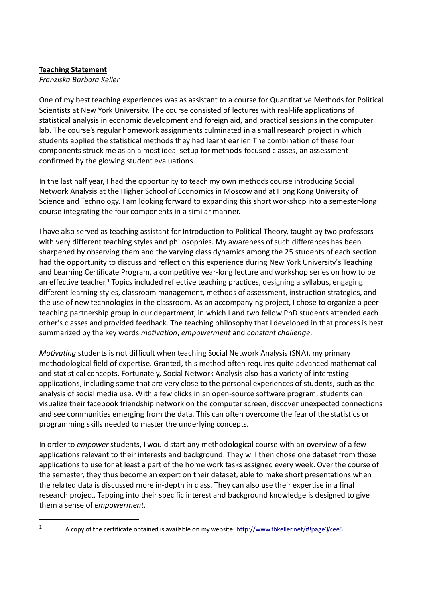## **Teaching Statement**

*Franziska Barbara Keller*

One of my best teaching experiences was as assistant to a course for Quantitative Methods for Political Scientists at New York University. The course consisted of lectures with real-life applications of statistical analysis in economic development and foreign aid, and practical sessions in the computer lab. The course's regular homework assignments culminated in a small research project in which students applied the statistical methods they had learnt earlier. The combination of these four components struck me as an almost ideal setup for methods-focused classes, an assessment confirmed by the glowing student evaluations.

In the last half year, I had the opportunity to teach my own methods course introducing Social Network Analysis at the Higher School of Economics in Moscow and at Hong Kong University of Science and Technology. I am looking forward to expanding this short workshop into a semester-long course integrating the four components in a similar manner.

I have also served as teaching assistant for Introduction to Political Theory, taught by two professors with very different teaching styles and philosophies. My awareness of such differences has been sharpened by observing them and the varying class dynamics among the 25 students of each section. I had the opportunity to discuss and reflect on this experience during New York University's Teaching and Learning Certificate Program, a competitive year-long lecture and workshop series on how to be an effective teacher.<sup>1</sup> Topics included reflective teaching practices, designing a syllabus, engaging different learning styles, classroom management, methods of assessment, instruction strategies, and the use of new technologies in the classroom. As an accompanying project, I chose to organize a peer teaching partnership group in our department, in which I and two fellow PhD students attended each other's classes and provided feedback. The teaching philosophy that I developed in that process is best summarized by the key words *motivation*, *empowerment* and *constant challenge*.

*Motivating* students is not difficult when teaching Social Network Analysis (SNA), my primary methodological field of expertise. Granted, this method often requires quite advanced mathematical and statistical concepts. Fortunately, Social Network Analysis also has a variety of interesting applications, including some that are very close to the personal experiences of students, such as the analysis of social media use. With a few clicks in an open-source software program, students can visualize their facebook friendship network on the computer screen, discover unexpected connections and see communities emerging from the data. This can often overcome the fear of the statistics or programming skills needed to master the underlying concepts.

In order to *empower* students, I would start any methodological course with an overview of a few applications relevant to their interests and background. They will then chose one dataset from those applications to use for at least a part of the home work tasks assigned every week. Over the course of the semester, they thus become an expert on their dataset, able to make short presentations when the related data is discussed more in-depth in class. They can also use their expertise in a final research project. Tapping into their specific interest and background knowledge is designed to give them a sense of *empowerment*.

 $\overline{a}$ 

<sup>&</sup>lt;sup>1</sup> A copy of the certificate obtained is available on my website: http://www.fbkeller.net/#!page3/cee5